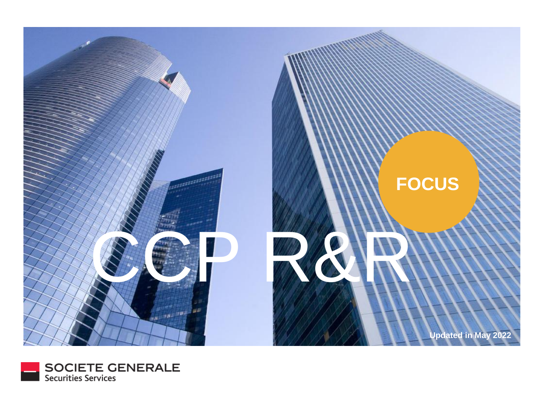

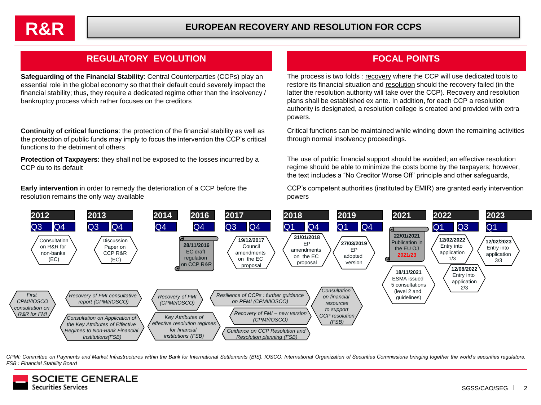

## **REGULATORY EVOLUTION FOCAL POINTS**

**Safeguarding of the Financial Stability**: Central Counterparties (CCPs) play an essential role in the global economy so that their default could severely impact the financial stability; thus, they require a dedicated regime other than the insolvency / bankruptcy process which rather focuses on the creditors

**Continuity of critical functions**: the protection of the financial stability as well as the protection of public funds may imply to focus the intervention the CCP's critical functions to the detriment of others

**Protection of Taxpayers**: they shall not be exposed to the losses incurred by a CCP du to its default

**Early intervention** in order to remedy the deterioration of a CCP before the resolution remains the only way available

The process is two folds : recovery where the CCP will use dedicated tools to restore its financial situation and resolution should the recovery failed (in the latter the resolution authority will take over the CCP). Recovery and resolution plans shall be established ex ante. In addition, for each CCP a resolution authority is designated, a resolution college is created and provided with extra powers.

Critical functions can be maintained while winding down the remaining activities through normal insolvency proceedings.

The use of public financial support should be avoided; an effective resolution regime should be able to minimize the costs borne by the taxpayers; however, the text includes a "No Creditor Worse Off" principle and other safeguards,

CCP's competent authorities (instituted by EMIR) are granted early intervention powers



CPMI: Committee on Payments and Market Infrastructures within the Bank for International Settlements (BIS). IOSCO: International Organization of Securities Commissions bringing together the world's securities regulators. *FSB : Financial Stability Board*